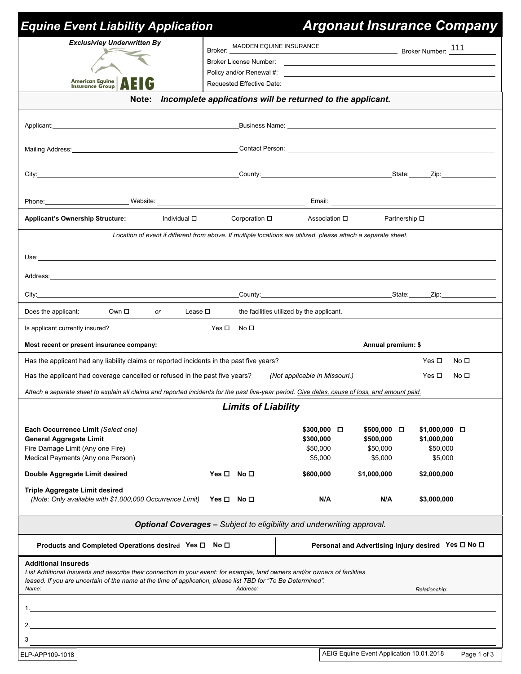| <b>Equine Event Liability Application</b>                                                                                                                                                                                                                                |                                                                                                                |                                                |                                | <b>Argonaut Insurance Company</b>                                                                                |
|--------------------------------------------------------------------------------------------------------------------------------------------------------------------------------------------------------------------------------------------------------------------------|----------------------------------------------------------------------------------------------------------------|------------------------------------------------|--------------------------------|------------------------------------------------------------------------------------------------------------------|
| <b>Exclusivley Underwritten By</b>                                                                                                                                                                                                                                       |                                                                                                                | Broker: MADDEN EQUINE INSURANCE<br>Broker: 111 |                                |                                                                                                                  |
|                                                                                                                                                                                                                                                                          | Broker License Number:                                                                                         |                                                |                                | and the control of the control of the control of the control of the control of the control of the control of the |
| American Equine<br>Insurance Group                                                                                                                                                                                                                                       |                                                                                                                |                                                |                                |                                                                                                                  |
| Note:                                                                                                                                                                                                                                                                    | Incomplete applications will be returned to the applicant.                                                     |                                                |                                |                                                                                                                  |
|                                                                                                                                                                                                                                                                          |                                                                                                                |                                                |                                |                                                                                                                  |
|                                                                                                                                                                                                                                                                          |                                                                                                                |                                                |                                |                                                                                                                  |
|                                                                                                                                                                                                                                                                          |                                                                                                                |                                                |                                |                                                                                                                  |
|                                                                                                                                                                                                                                                                          |                                                                                                                |                                                |                                |                                                                                                                  |
| Phone: Website: Website: Website: Website: Email: Email: Money Media 2014                                                                                                                                                                                                |                                                                                                                |                                                |                                |                                                                                                                  |
| <b>Applicant's Ownership Structure:</b><br>Individual □                                                                                                                                                                                                                  | Corporation □                                                                                                  | Association □                                  | Partnership □                  |                                                                                                                  |
|                                                                                                                                                                                                                                                                          | Location of event if different from above. If multiple locations are utilized, please attach a separate sheet. |                                                |                                |                                                                                                                  |
| Use: <u>with the company of the company of the company of the company of the company of the company of the company of the company of the company of the company of the company of the company of the company of the company of t</u>                                     |                                                                                                                |                                                |                                |                                                                                                                  |
| Address: the contract of the contract of the contract of the contract of the contract of the contract of the contract of the contract of the contract of the contract of the contract of the contract of the contract of the c                                           |                                                                                                                |                                                |                                |                                                                                                                  |
| City: City: City: City: Culleting Country: Country: Country: Country: Culleting Country: City: City: City: Culleting Country: Culleting Country: Culleting Country: Culleting Country: Culleting Country: Culleting Country: C                                           |                                                                                                                |                                                |                                |                                                                                                                  |
| Does the applicant:<br>Own □<br><b>Or</b>                                                                                                                                                                                                                                | Lease $\Box$ the facilities utilized by the applicant.                                                         |                                                |                                |                                                                                                                  |
| Is applicant currently insured?                                                                                                                                                                                                                                          | $Yes \Box$ No $\Box$                                                                                           |                                                |                                |                                                                                                                  |
|                                                                                                                                                                                                                                                                          |                                                                                                                |                                                |                                |                                                                                                                  |
| Has the applicant had any liability claims or reported incidents in the past five years?                                                                                                                                                                                 |                                                                                                                |                                                |                                | Yes □<br>No □                                                                                                    |
| Has the applicant had coverage cancelled or refused in the past five years?                                                                                                                                                                                              |                                                                                                                | (Not applicable in Missouri.)                  |                                | Yes $\Box$<br>No □                                                                                               |
| Attach a separate sheet to explain all claims and reported incidents for the past five-year period. Give dates, cause of loss, and amount paid.                                                                                                                          |                                                                                                                |                                                |                                |                                                                                                                  |
|                                                                                                                                                                                                                                                                          | <b>Limits of Liability</b>                                                                                     |                                                |                                |                                                                                                                  |
| Each Occurrence Limit (Select one)<br><b>General Aggregate Limit</b>                                                                                                                                                                                                     |                                                                                                                | $$300,000$ $\Box$<br>\$300,000                 | $$500,000$ $\Box$<br>\$500,000 | \$1,000,000 □<br>\$1,000,000                                                                                     |
| Fire Damage Limit (Any one Fire)<br>Medical Payments (Any one Person)                                                                                                                                                                                                    |                                                                                                                | \$50,000<br>\$5,000                            | \$50,000<br>\$5,000            | \$50,000<br>\$5,000                                                                                              |
| Double Aggregate Limit desired                                                                                                                                                                                                                                           | Yes $\square$ No $\square$                                                                                     | \$600,000                                      | \$1,000,000                    | \$2,000,000                                                                                                      |
| <b>Triple Aggregate Limit desired</b><br>(Note: Only available with \$1,000,000 Occurrence Limit)                                                                                                                                                                        | Yes □ No □                                                                                                     | N/A                                            | N/A                            | \$3,000,000                                                                                                      |
|                                                                                                                                                                                                                                                                          | Optional Coverages - Subject to eligibility and underwriting approval.                                         |                                                |                                |                                                                                                                  |
| Products and Completed Operations desired Yes □ No □                                                                                                                                                                                                                     |                                                                                                                |                                                |                                | Personal and Advertising Injury desired Yes □ No □                                                               |
| <b>Additional Insureds</b><br>List Additional Insureds and describe their connection to your event: for example, land owners and/or owners of facilities<br>leased. If you are uncertain of the name at the time of application, please list TBD for "To Be Determined". |                                                                                                                |                                                |                                |                                                                                                                  |
| Name:                                                                                                                                                                                                                                                                    | Address:                                                                                                       |                                                |                                | Relationship:                                                                                                    |
|                                                                                                                                                                                                                                                                          |                                                                                                                |                                                |                                |                                                                                                                  |
|                                                                                                                                                                                                                                                                          |                                                                                                                |                                                |                                |                                                                                                                  |
| 3                                                                                                                                                                                                                                                                        |                                                                                                                |                                                |                                |                                                                                                                  |

 $\vert$  Page 1 of 3  $\vert$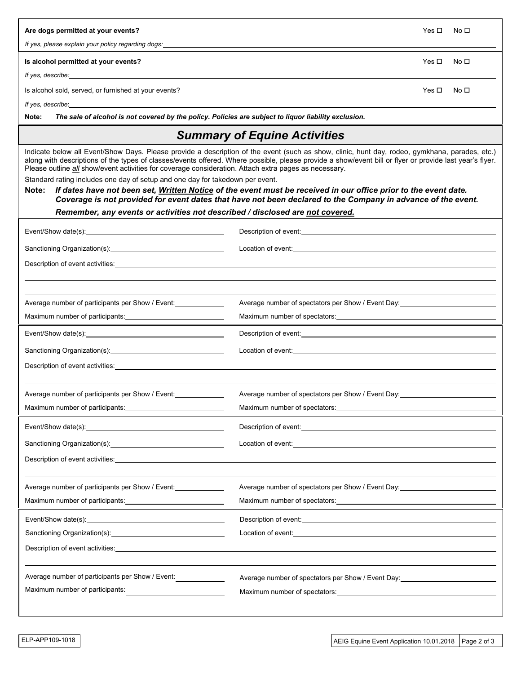| Are dogs permitted at your events?<br>If yes, please explain your policy regarding dogs:                                                                                                                                                                                                                                                                                                                                                                                                                                                                                                                                                                                                                                                                                                                                                | Yes $\Box$<br>No $\square$                                                                                                                                                                                                           |  |  |  |  |
|-----------------------------------------------------------------------------------------------------------------------------------------------------------------------------------------------------------------------------------------------------------------------------------------------------------------------------------------------------------------------------------------------------------------------------------------------------------------------------------------------------------------------------------------------------------------------------------------------------------------------------------------------------------------------------------------------------------------------------------------------------------------------------------------------------------------------------------------|--------------------------------------------------------------------------------------------------------------------------------------------------------------------------------------------------------------------------------------|--|--|--|--|
|                                                                                                                                                                                                                                                                                                                                                                                                                                                                                                                                                                                                                                                                                                                                                                                                                                         |                                                                                                                                                                                                                                      |  |  |  |  |
| Is alcohol permitted at your events?<br>Yes $\square$<br>No □                                                                                                                                                                                                                                                                                                                                                                                                                                                                                                                                                                                                                                                                                                                                                                           |                                                                                                                                                                                                                                      |  |  |  |  |
| If yes, describe: the contract of the contract of the contract of the contract of the contract of the contract of the contract of the contract of the contract of the contract of the contract of the contract of the contract<br>Yes $\square$<br>No <sub>1</sub>                                                                                                                                                                                                                                                                                                                                                                                                                                                                                                                                                                      |                                                                                                                                                                                                                                      |  |  |  |  |
| Is alcohol sold, served, or furnished at your events?<br>If yes, describe: the state of the state of the state of the state of the state of the state of the state of the state of the state of the state of the state of the state of the state of the state of the state of the state                                                                                                                                                                                                                                                                                                                                                                                                                                                                                                                                                 |                                                                                                                                                                                                                                      |  |  |  |  |
| The sale of alcohol is not covered by the policy. Policies are subject to liquor liability exclusion.<br>Note:                                                                                                                                                                                                                                                                                                                                                                                                                                                                                                                                                                                                                                                                                                                          |                                                                                                                                                                                                                                      |  |  |  |  |
| <b>Summary of Equine Activities</b>                                                                                                                                                                                                                                                                                                                                                                                                                                                                                                                                                                                                                                                                                                                                                                                                     |                                                                                                                                                                                                                                      |  |  |  |  |
| Indicate below all Event/Show Days. Please provide a description of the event (such as show, clinic, hunt day, rodeo, gymkhana, parades, etc.)<br>along with descriptions of the types of classes/events offered. Where possible, please provide a show/event bill or flyer or provide last year's flyer.<br>Please outline <i>all</i> show/event activities for coverage consideration. Attach extra pages as necessary.<br>Standard rating includes one day of setup and one day for takedown per event.<br>If dates have not been set, Written Notice of the event must be received in our office prior to the event date.<br>Note:<br>Coverage is not provided for event dates that have not been declared to the Company in advance of the event.<br>Remember, any events or activities not described / disclosed are not covered. |                                                                                                                                                                                                                                      |  |  |  |  |
|                                                                                                                                                                                                                                                                                                                                                                                                                                                                                                                                                                                                                                                                                                                                                                                                                                         | Description of event: example and the state of the state of the state of the state of the state of the state of the state of the state of the state of the state of the state of the state of the state of the state of the st       |  |  |  |  |
|                                                                                                                                                                                                                                                                                                                                                                                                                                                                                                                                                                                                                                                                                                                                                                                                                                         | Location of event: <u>contract and a series of the series of the series of the series of the series of the series of</u>                                                                                                             |  |  |  |  |
|                                                                                                                                                                                                                                                                                                                                                                                                                                                                                                                                                                                                                                                                                                                                                                                                                                         |                                                                                                                                                                                                                                      |  |  |  |  |
|                                                                                                                                                                                                                                                                                                                                                                                                                                                                                                                                                                                                                                                                                                                                                                                                                                         |                                                                                                                                                                                                                                      |  |  |  |  |
|                                                                                                                                                                                                                                                                                                                                                                                                                                                                                                                                                                                                                                                                                                                                                                                                                                         |                                                                                                                                                                                                                                      |  |  |  |  |
| Average number of participants per Show / Event:                                                                                                                                                                                                                                                                                                                                                                                                                                                                                                                                                                                                                                                                                                                                                                                        | Average number of spectators per Show / Event Day: 1988                                                                                                                                                                              |  |  |  |  |
|                                                                                                                                                                                                                                                                                                                                                                                                                                                                                                                                                                                                                                                                                                                                                                                                                                         |                                                                                                                                                                                                                                      |  |  |  |  |
|                                                                                                                                                                                                                                                                                                                                                                                                                                                                                                                                                                                                                                                                                                                                                                                                                                         | Description of event: <u>contract and a series of the series of the series of the series of the series of the series of the series of the series of the series of the series of the series of the series of the series of the se</u> |  |  |  |  |
|                                                                                                                                                                                                                                                                                                                                                                                                                                                                                                                                                                                                                                                                                                                                                                                                                                         | Location of event: <u>contract and a set of the set of the set of the set of the set of the set of the set of the set of the set of the set of the set of the set of the set of the set of the set of the set of the set of the </u> |  |  |  |  |
| Description of event activities: example and the state of the state of the state of the state of the state of the state of the state of the state of the state of the state of the state of the state of the state of the stat                                                                                                                                                                                                                                                                                                                                                                                                                                                                                                                                                                                                          |                                                                                                                                                                                                                                      |  |  |  |  |
|                                                                                                                                                                                                                                                                                                                                                                                                                                                                                                                                                                                                                                                                                                                                                                                                                                         |                                                                                                                                                                                                                                      |  |  |  |  |
| Average number of participants per Show / Event:                                                                                                                                                                                                                                                                                                                                                                                                                                                                                                                                                                                                                                                                                                                                                                                        | Average number of spectators per Show / Event Day:                                                                                                                                                                                   |  |  |  |  |
|                                                                                                                                                                                                                                                                                                                                                                                                                                                                                                                                                                                                                                                                                                                                                                                                                                         |                                                                                                                                                                                                                                      |  |  |  |  |
|                                                                                                                                                                                                                                                                                                                                                                                                                                                                                                                                                                                                                                                                                                                                                                                                                                         | Description of event: experience of the state of the state of the state of the state of the state of the state of the state of the state of the state of the state of the state of the state of the state of the state of the        |  |  |  |  |
| Location of event: <u>contract and a set of the set of the set of the set of the set of the set of the set of the set of the set of the set of the set of the set of the set of the set of the set of the set of the set of the </u>                                                                                                                                                                                                                                                                                                                                                                                                                                                                                                                                                                                                    |                                                                                                                                                                                                                                      |  |  |  |  |
| Description of event activities: University of the control of the control of the control of the control of the control of the control of the control of the control of the control of the control of the control of the contro                                                                                                                                                                                                                                                                                                                                                                                                                                                                                                                                                                                                          |                                                                                                                                                                                                                                      |  |  |  |  |
|                                                                                                                                                                                                                                                                                                                                                                                                                                                                                                                                                                                                                                                                                                                                                                                                                                         |                                                                                                                                                                                                                                      |  |  |  |  |
| Average number of participants per Show / Event:                                                                                                                                                                                                                                                                                                                                                                                                                                                                                                                                                                                                                                                                                                                                                                                        | Average number of spectators per Show / Event Day:                                                                                                                                                                                   |  |  |  |  |
|                                                                                                                                                                                                                                                                                                                                                                                                                                                                                                                                                                                                                                                                                                                                                                                                                                         | Maximum number of spectators: Maximum number of spectators:                                                                                                                                                                          |  |  |  |  |
|                                                                                                                                                                                                                                                                                                                                                                                                                                                                                                                                                                                                                                                                                                                                                                                                                                         | Description of event: <u>contract and a series of the series of the series of the series of the series of the series of the series of the series of the series of the series of the series of the series of the series of the se</u> |  |  |  |  |
|                                                                                                                                                                                                                                                                                                                                                                                                                                                                                                                                                                                                                                                                                                                                                                                                                                         | Location of event: the contract of the contract of the contract of the contract of the contract of the contract of the contract of the contract of the contract of the contract of the contract of the contract of the contrac       |  |  |  |  |
| Description of event activities: <b>Example 2018</b> 2019 12:30 AM                                                                                                                                                                                                                                                                                                                                                                                                                                                                                                                                                                                                                                                                                                                                                                      |                                                                                                                                                                                                                                      |  |  |  |  |
|                                                                                                                                                                                                                                                                                                                                                                                                                                                                                                                                                                                                                                                                                                                                                                                                                                         |                                                                                                                                                                                                                                      |  |  |  |  |
| Average number of participants per Show / Event:                                                                                                                                                                                                                                                                                                                                                                                                                                                                                                                                                                                                                                                                                                                                                                                        | Average number of spectators per Show / Event Day:                                                                                                                                                                                   |  |  |  |  |
| Maximum number of participants:                                                                                                                                                                                                                                                                                                                                                                                                                                                                                                                                                                                                                                                                                                                                                                                                         |                                                                                                                                                                                                                                      |  |  |  |  |
|                                                                                                                                                                                                                                                                                                                                                                                                                                                                                                                                                                                                                                                                                                                                                                                                                                         |                                                                                                                                                                                                                                      |  |  |  |  |